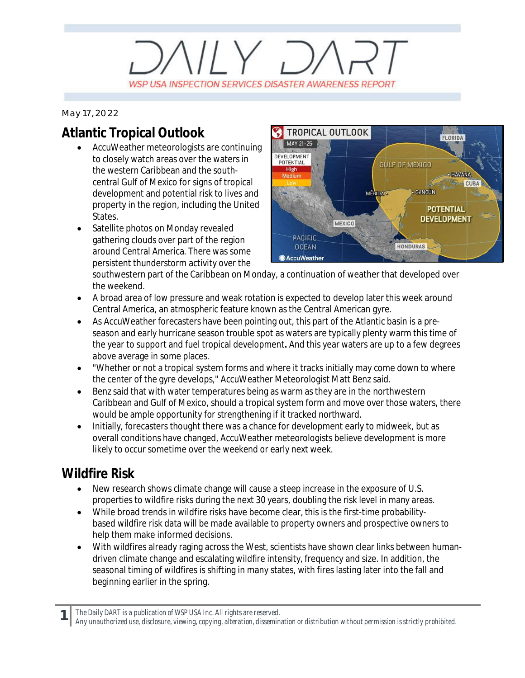## $VUV$   $D/$ WSP USA INSPECTION SERVICES DISASTER AWARENESS REPORT

*May 17, 2022*

### **Atlantic Tropical Outlook**

- · AccuWeather meteorologists are continuing to closely watch areas over the waters in the western Caribbean and the southcentral Gulf of Mexico for signs of tropical development and potential risk to lives and property in the region, including the United States.
- Satellite photos on Monday revealed gathering clouds over part of the region around Central America. There was some persistent thunderstorm activity over the



southwestern part of the Caribbean on Monday, a continuation of weather that developed over the weekend.

- · A broad area of low pressure and weak rotation is expected to develop later this week around Central America, an atmospheric feature known as the Central American gyre.
- As AccuWeather forecasters have been pointing out, this part of the Atlantic basin is a preseason and early hurricane season trouble spot as waters are typically plenty warm this time of the year to support and fuel tropical development**.** And this year waters are up to a few degrees above average in some places.
- · "Whether or not a tropical system forms and where it tracks initially may come down to where the center of the gyre develops," AccuWeather Meteorologist Matt Benz said.
- Benz said that with water temperatures being as warm as they are in the northwestern Caribbean and Gulf of Mexico, should a tropical system form and move over those waters, there would be ample opportunity for strengthening if it tracked northward.
- Initially, forecasters thought there was a chance for development early to midweek, but as overall conditions have changed, AccuWeather meteorologists believe development is more likely to occur sometime over the weekend or early next week.

#### **Wildfire Risk**

- New research shows climate change will cause a steep increase in the exposure of U.S. properties to wildfire risks during the next 30 years, doubling the risk level in many areas.
- · While broad trends in wildfire risks have become clear, this is the first-time probabilitybased wildfire risk data will be made available to property owners and prospective owners to help them make informed decisions.
- · With wildfires already raging across the West, scientists have shown clear links between humandriven climate change and escalating wildfire intensity, frequency and size. In addition, the seasonal timing of wildfires is shifting in many states, with fires lasting later into the fall and beginning earlier in the spring.

**1** *The Daily DART is a publication of WSP USA Inc. All rights are reserved.*

*Any unauthorized use, disclosure, viewing, copying, alteration, dissemination or distribution without permission is strictly prohibited.*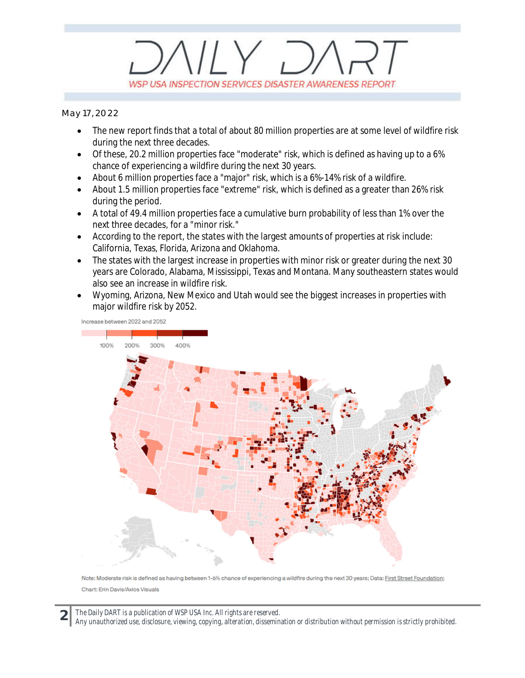## $V/Y$   $D$ WSP USA INSPECTION SERVICES DISASTER AWARENESS REPORT

*May 17, 2022*

- The new report finds that a total of about 80 million properties are at some level of wildfire risk during the next three decades.
- · Of these, 20.2 million properties face "moderate" risk, which is defined as having up to a 6% chance of experiencing a wildfire during the next 30 years.
- About 6 million properties face a "major" risk, which is a 6%-14% risk of a wildfire.
- · About 1.5 million properties face "extreme" risk, which is defined as a greater than 26% risk during the period.
- · A total of 49.4 million properties face a cumulative burn probability of less than 1% over the next three decades, for a "minor risk."
- · According to the report, the states with the largest amounts of properties at risk include: California, Texas, Florida, Arizona and Oklahoma.
- The states with the largest increase in properties with minor risk or greater during the next 30 years are Colorado, Alabama, Mississippi, Texas and Montana. Many southeastern states would also see an increase in wildfire risk.
- · Wyoming, Arizona, New Mexico and Utah would see the biggest increases in properties with major wildfire risk by 2052.

Increase between 2022 and 2052



Note: Moderate risk is defined as having between 1-6% chance of experiencing a wildfire during the next 30 years; Data: First Street Foundation; Chart: Erin Davis/Axios Visuals

**2** *The Daily DART is a publication of WSP USA Inc. All rights are reserved. Any unauthorized use, disclosure, viewing, copying, alteration, dissemination or distribution without permission is strictly prohibited.*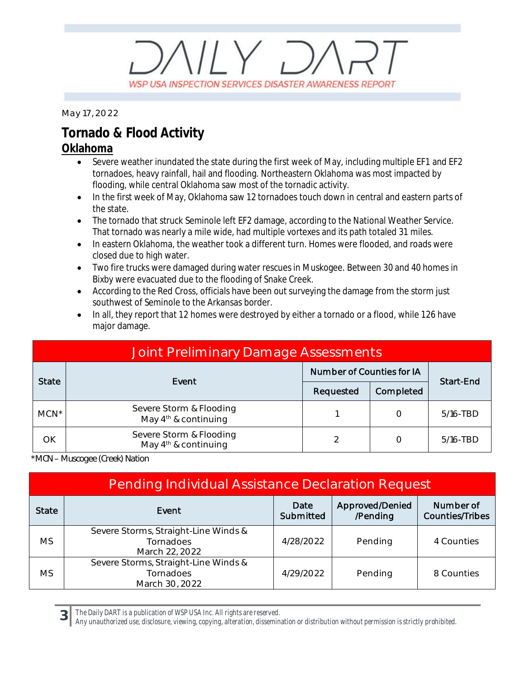## $11Y, 7$ WSP USA INSPECTION SERVICES DISASTER AWARENESS REPORT

*May 17, 2022*

#### **Tornado & Flood Activity**

#### **Oklahoma**

- Severe weather inundated the state during the first week of May, including multiple EF1 and EF2 tornadoes, heavy rainfall, hail and flooding. Northeastern Oklahoma was most impacted by flooding, while central Oklahoma saw most of the tornadic activity.
- · In the first week of May, Oklahoma saw 12 tornadoes touch down in central and eastern parts of the state.
- · The tornado that struck Seminole left EF2 damage, according to the National Weather Service. That tornado was nearly a mile wide, had multiple vortexes and its path totaled 31 miles.
- · In eastern Oklahoma, the weather took a different turn. Homes were flooded, and roads were closed due to high water.
- · Two fire trucks were damaged during water rescues in Muskogee. Between 30 and 40 homes in Bixby were evacuated due to the flooding of Snake Creek.
- · According to the Red Cross, officials have been out surveying the damage from the storm just southwest of Seminole to the Arkansas border.
- · In all, they report that 12 homes were destroyed by either a tornado or a flood, while 126 have major damage.

| Joint Preliminary Damage Assessments |                                                   |                           |           |             |  |  |  |
|--------------------------------------|---------------------------------------------------|---------------------------|-----------|-------------|--|--|--|
| <b>State</b>                         | Event                                             | Number of Counties for IA |           | Start-End   |  |  |  |
|                                      |                                                   | Requested                 | Completed |             |  |  |  |
| $MCN^*$                              | Severe Storm & Flooding<br>May $4th$ & continuing |                           |           | 5/16-TBD    |  |  |  |
| OK                                   | Severe Storm & Flooding<br>May $4th$ & continuing | っ                         |           | $5/16$ -TBD |  |  |  |

*\*MCN – Muscogee (Creek) Nation*

**3**

| <b>Pending Individual Assistance Declaration Request</b> |                                                                     |                   |                             |                                     |  |  |
|----------------------------------------------------------|---------------------------------------------------------------------|-------------------|-----------------------------|-------------------------------------|--|--|
| <b>State</b>                                             | Event                                                               | Date<br>Submitted | Approved/Denied<br>/Pending | Number of<br><b>Counties/Tribes</b> |  |  |
| MS                                                       | Severe Storms, Straight-Line Winds &<br>Tornadoes<br>March 22, 2022 | 4/28/2022         | Pending                     | 4 Counties                          |  |  |
| MS                                                       | Severe Storms, Straight-Line Winds &<br>Tornadoes<br>March 30, 2022 | 4/29/2022         | Pending                     | 8 Counties                          |  |  |

*The Daily DART is a publication of WSP USA Inc. All rights are reserved.*

*Any unauthorized use, disclosure, viewing, copying, alteration, dissemination or distribution without permission is strictly prohibited.*